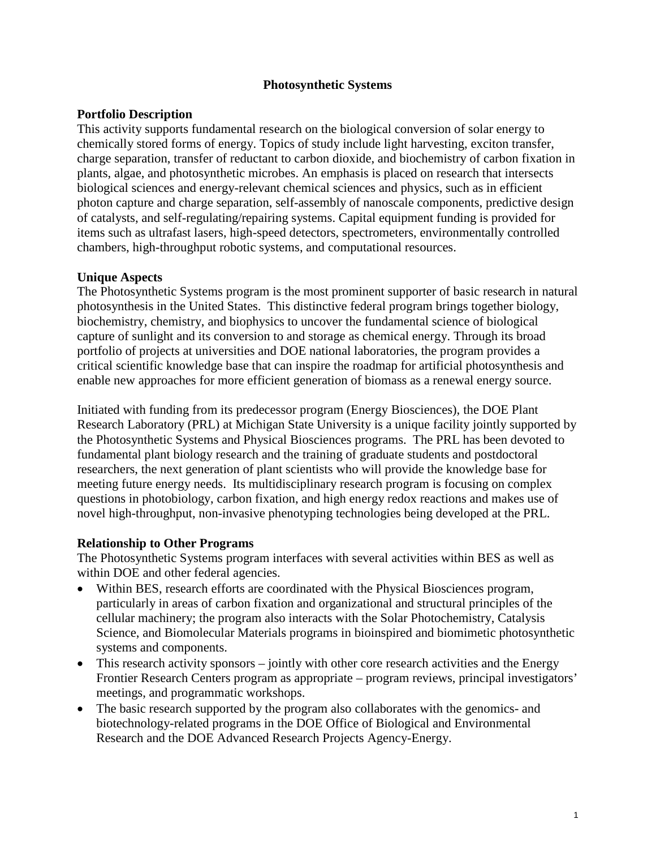#### **Photosynthetic Systems**

### **Portfolio Description**

This activity supports fundamental research on the biological conversion of solar energy to chemically stored forms of energy. Topics of study include light harvesting, exciton transfer, charge separation, transfer of reductant to carbon dioxide, and biochemistry of carbon fixation in plants, algae, and photosynthetic microbes. An emphasis is placed on research that intersects biological sciences and energy-relevant chemical sciences and physics, such as in efficient photon capture and charge separation, self-assembly of nanoscale components, predictive design of catalysts, and self-regulating/repairing systems. Capital equipment funding is provided for items such as ultrafast lasers, high-speed detectors, spectrometers, environmentally controlled chambers, high-throughput robotic systems, and computational resources.

#### **Unique Aspects**

The Photosynthetic Systems program is the most prominent supporter of basic research in natural photosynthesis in the United States. This distinctive federal program brings together biology, biochemistry, chemistry, and biophysics to uncover the fundamental science of biological capture of sunlight and its conversion to and storage as chemical energy. Through its broad portfolio of projects at universities and DOE national laboratories, the program provides a critical scientific knowledge base that can inspire the roadmap for artificial photosynthesis and enable new approaches for more efficient generation of biomass as a renewal energy source.

Initiated with funding from its predecessor program (Energy Biosciences), the DOE Plant Research Laboratory (PRL) at Michigan State University is a unique facility jointly supported by the Photosynthetic Systems and Physical Biosciences programs. The PRL has been devoted to fundamental plant biology research and the training of graduate students and postdoctoral researchers, the next generation of plant scientists who will provide the knowledge base for meeting future energy needs. Its multidisciplinary research program is focusing on complex questions in photobiology, carbon fixation, and high energy redox reactions and makes use of novel high-throughput, non-invasive phenotyping technologies being developed at the PRL.

# **Relationship to Other Programs**

The Photosynthetic Systems program interfaces with several activities within BES as well as within DOE and other federal agencies.

- Within BES, research efforts are coordinated with the Physical Biosciences program, particularly in areas of carbon fixation and organizational and structural principles of the cellular machinery; the program also interacts with the Solar Photochemistry, Catalysis Science, and Biomolecular Materials programs in bioinspired and biomimetic photosynthetic systems and components.
- This research activity sponsors jointly with other core research activities and the Energy Frontier Research Centers program as appropriate – program reviews, principal investigators' meetings, and programmatic workshops.
- The basic research supported by the program also collaborates with the genomics- and biotechnology-related programs in the DOE Office of Biological and Environmental Research and the DOE Advanced Research Projects Agency-Energy.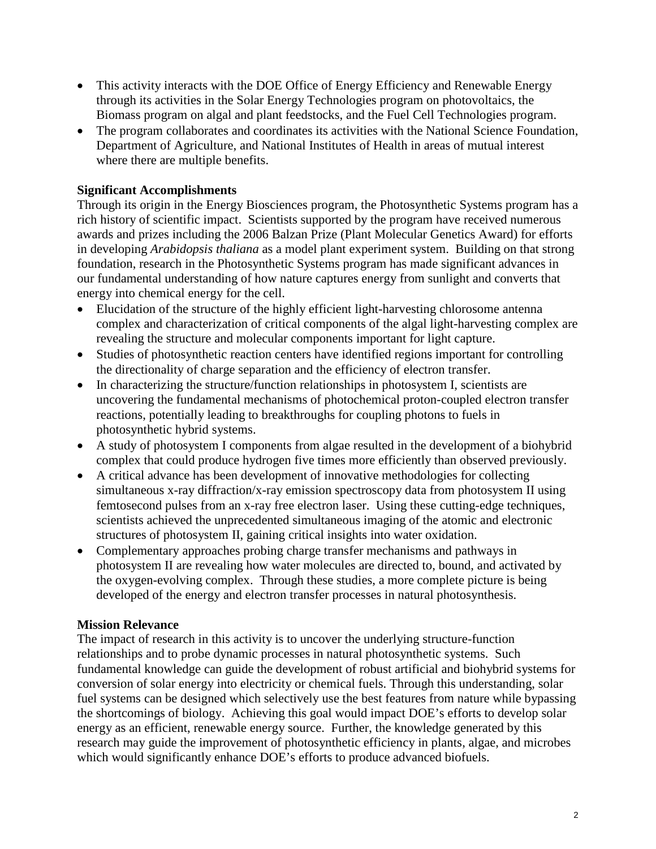- This activity interacts with the DOE Office of Energy Efficiency and Renewable Energy through its activities in the Solar Energy Technologies program on photovoltaics, the Biomass program on algal and plant feedstocks, and the Fuel Cell Technologies program.
- The program collaborates and coordinates its activities with the National Science Foundation, Department of Agriculture, and National Institutes of Health in areas of mutual interest where there are multiple benefits.

# **Significant Accomplishments**

Through its origin in the Energy Biosciences program, the Photosynthetic Systems program has a rich history of scientific impact. Scientists supported by the program have received numerous awards and prizes including the 2006 Balzan Prize (Plant Molecular Genetics Award) for efforts in developing *Arabidopsis thaliana* as a model plant experiment system. Building on that strong foundation, research in the Photosynthetic Systems program has made significant advances in our fundamental understanding of how nature captures energy from sunlight and converts that energy into chemical energy for the cell.

- Elucidation of the structure of the highly efficient light-harvesting chlorosome antenna complex and characterization of critical components of the algal light-harvesting complex are revealing the structure and molecular components important for light capture.
- Studies of photosynthetic reaction centers have identified regions important for controlling the directionality of charge separation and the efficiency of electron transfer.
- In characterizing the structure/function relationships in photosystem I, scientists are uncovering the fundamental mechanisms of photochemical proton-coupled electron transfer reactions, potentially leading to breakthroughs for coupling photons to fuels in photosynthetic hybrid systems.
- A study of photosystem I components from algae resulted in the development of a biohybrid complex that could produce hydrogen five times more efficiently than observed previously.
- A critical advance has been development of innovative methodologies for collecting simultaneous x-ray diffraction/x-ray emission spectroscopy data from photosystem II using femtosecond pulses from an x-ray free electron laser. Using these cutting-edge techniques, scientists achieved the unprecedented simultaneous imaging of the atomic and electronic structures of photosystem II, gaining critical insights into water oxidation.
- Complementary approaches probing charge transfer mechanisms and pathways in photosystem II are revealing how water molecules are directed to, bound, and activated by the oxygen-evolving complex. Through these studies, a more complete picture is being developed of the energy and electron transfer processes in natural photosynthesis.

# **Mission Relevance**

The impact of research in this activity is to uncover the underlying structure-function relationships and to probe dynamic processes in natural photosynthetic systems. Such fundamental knowledge can guide the development of robust artificial and biohybrid systems for conversion of solar energy into electricity or chemical fuels. Through this understanding, solar fuel systems can be designed which selectively use the best features from nature while bypassing the shortcomings of biology. Achieving this goal would impact DOE's efforts to develop solar energy as an efficient, renewable energy source. Further, the knowledge generated by this research may guide the improvement of photosynthetic efficiency in plants, algae, and microbes which would significantly enhance DOE's efforts to produce advanced biofuels.